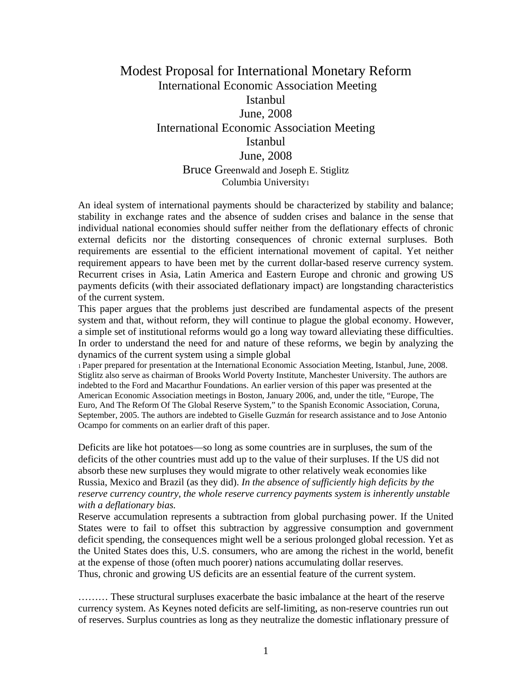# Modest Proposal for International Monetary Reform International Economic Association Meeting Istanbul June, 2008 International Economic Association Meeting Istanbul June, 2008 Bruce Greenwald and Joseph E. Stiglitz

Columbia University1

An ideal system of international payments should be characterized by stability and balance; stability in exchange rates and the absence of sudden crises and balance in the sense that individual national economies should suffer neither from the deflationary effects of chronic external deficits nor the distorting consequences of chronic external surpluses. Both requirements are essential to the efficient international movement of capital. Yet neither requirement appears to have been met by the current dollar-based reserve currency system. Recurrent crises in Asia, Latin America and Eastern Europe and chronic and growing US payments deficits (with their associated deflationary impact) are longstanding characteristics of the current system.

This paper argues that the problems just described are fundamental aspects of the present system and that, without reform, they will continue to plague the global economy. However, a simple set of institutional reforms would go a long way toward alleviating these difficulties. In order to understand the need for and nature of these reforms, we begin by analyzing the dynamics of the current system using a simple global

1 Paper prepared for presentation at the International Economic Association Meeting, Istanbul, June, 2008. Stiglitz also serve as chairman of Brooks World Poverty Institute, Manchester University. The authors are indebted to the Ford and Macarthur Foundations. An earlier version of this paper was presented at the American Economic Association meetings in Boston, January 2006, and, under the title, "Europe, The Euro, And The Reform Of The Global Reserve System," to the Spanish Economic Association, Coruna, September, 2005. The authors are indebted to Giselle Guzmán for research assistance and to Jose Antonio Ocampo for comments on an earlier draft of this paper.

Deficits are like hot potatoes—so long as some countries are in surpluses, the sum of the deficits of the other countries must add up to the value of their surpluses. If the US did not absorb these new surpluses they would migrate to other relatively weak economies like Russia, Mexico and Brazil (as they did). *In the absence of sufficiently high deficits by the reserve currency country, the whole reserve currency payments system is inherently unstable with a deflationary bias.* 

Reserve accumulation represents a subtraction from global purchasing power. If the United States were to fail to offset this subtraction by aggressive consumption and government deficit spending, the consequences might well be a serious prolonged global recession. Yet as the United States does this, U.S. consumers, who are among the richest in the world, benefit at the expense of those (often much poorer) nations accumulating dollar reserves. Thus, chronic and growing US deficits are an essential feature of the current system.

……… These structural surpluses exacerbate the basic imbalance at the heart of the reserve currency system. As Keynes noted deficits are self-limiting, as non-reserve countries run out of reserves. Surplus countries as long as they neutralize the domestic inflationary pressure of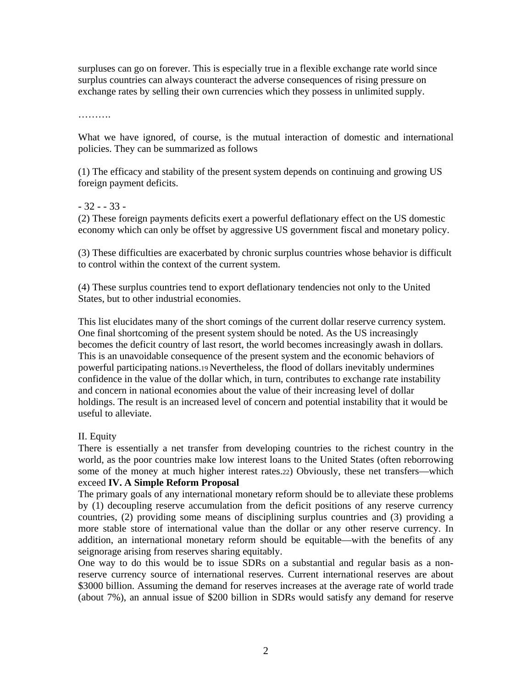surpluses can go on forever. This is especially true in a flexible exchange rate world since surplus countries can always counteract the adverse consequences of rising pressure on exchange rates by selling their own currencies which they possess in unlimited supply.

……….

What we have ignored, of course, is the mutual interaction of domestic and international policies. They can be summarized as follows

(1) The efficacy and stability of the present system depends on continuing and growing US foreign payment deficits.

# - 32 - - 33 -

(2) These foreign payments deficits exert a powerful deflationary effect on the US domestic economy which can only be offset by aggressive US government fiscal and monetary policy.

(3) These difficulties are exacerbated by chronic surplus countries whose behavior is difficult to control within the context of the current system.

(4) These surplus countries tend to export deflationary tendencies not only to the United States, but to other industrial economies.

This list elucidates many of the short comings of the current dollar reserve currency system. One final shortcoming of the present system should be noted. As the US increasingly becomes the deficit country of last resort, the world becomes increasingly awash in dollars. This is an unavoidable consequence of the present system and the economic behaviors of powerful participating nations.19 Nevertheless, the flood of dollars inevitably undermines confidence in the value of the dollar which, in turn, contributes to exchange rate instability and concern in national economies about the value of their increasing level of dollar holdings. The result is an increased level of concern and potential instability that it would be useful to alleviate.

# II. Equity

There is essentially a net transfer from developing countries to the richest country in the world, as the poor countries make low interest loans to the United States (often reborrowing some of the money at much higher interest rates.22) Obviously, these net transfers—which exceed **IV. A Simple Reform Proposal** 

The primary goals of any international monetary reform should be to alleviate these problems by (1) decoupling reserve accumulation from the deficit positions of any reserve currency countries, (2) providing some means of disciplining surplus countries and (3) providing a more stable store of international value than the dollar or any other reserve currency. In addition, an international monetary reform should be equitable—with the benefits of any seignorage arising from reserves sharing equitably.

One way to do this would be to issue SDRs on a substantial and regular basis as a nonreserve currency source of international reserves. Current international reserves are about \$3000 billion. Assuming the demand for reserves increases at the average rate of world trade (about 7%), an annual issue of \$200 billion in SDRs would satisfy any demand for reserve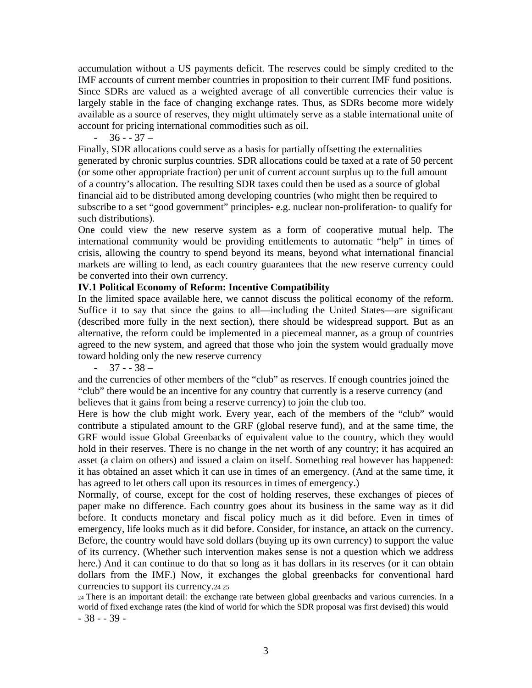accumulation without a US payments deficit. The reserves could be simply credited to the IMF accounts of current member countries in proposition to their current IMF fund positions. Since SDRs are valued as a weighted average of all convertible currencies their value is largely stable in the face of changing exchange rates. Thus, as SDRs become more widely available as a source of reserves, they might ultimately serve as a stable international unite of account for pricing international commodities such as oil.

 $36 - 37 -$ 

Finally, SDR allocations could serve as a basis for partially offsetting the externalities generated by chronic surplus countries. SDR allocations could be taxed at a rate of 50 percent (or some other appropriate fraction) per unit of current account surplus up to the full amount of a country's allocation. The resulting SDR taxes could then be used as a source of global financial aid to be distributed among developing countries (who might then be required to subscribe to a set "good government" principles- e.g. nuclear non-proliferation- to qualify for such distributions).

One could view the new reserve system as a form of cooperative mutual help. The international community would be providing entitlements to automatic "help" in times of crisis, allowing the country to spend beyond its means, beyond what international financial markets are willing to lend, as each country guarantees that the new reserve currency could be converted into their own currency.

# **IV.1 Political Economy of Reform: Incentive Compatibility**

In the limited space available here, we cannot discuss the political economy of the reform. Suffice it to say that since the gains to all—including the United States—are significant (described more fully in the next section), there should be widespread support. But as an alternative, the reform could be implemented in a piecemeal manner, as a group of countries agreed to the new system, and agreed that those who join the system would gradually move toward holding only the new reserve currency

 $-37 - 38 -$ 

and the currencies of other members of the "club" as reserves. If enough countries joined the "club" there would be an incentive for any country that currently is a reserve currency (and believes that it gains from being a reserve currency) to join the club too.

Here is how the club might work. Every year, each of the members of the "club" would contribute a stipulated amount to the GRF (global reserve fund), and at the same time, the GRF would issue Global Greenbacks of equivalent value to the country, which they would hold in their reserves. There is no change in the net worth of any country; it has acquired an asset (a claim on others) and issued a claim on itself. Something real however has happened: it has obtained an asset which it can use in times of an emergency. (And at the same time, it has agreed to let others call upon its resources in times of emergency.)

Normally, of course, except for the cost of holding reserves, these exchanges of pieces of paper make no difference. Each country goes about its business in the same way as it did before. It conducts monetary and fiscal policy much as it did before. Even in times of emergency, life looks much as it did before. Consider, for instance, an attack on the currency. Before, the country would have sold dollars (buying up its own currency) to support the value of its currency. (Whether such intervention makes sense is not a question which we address here.) And it can continue to do that so long as it has dollars in its reserves (or it can obtain dollars from the IMF.) Now, it exchanges the global greenbacks for conventional hard currencies to support its currency.24 25

24 There is an important detail: the exchange rate between global greenbacks and various currencies. In a world of fixed exchange rates (the kind of world for which the SDR proposal was first devised) this would - 38 - - 39 -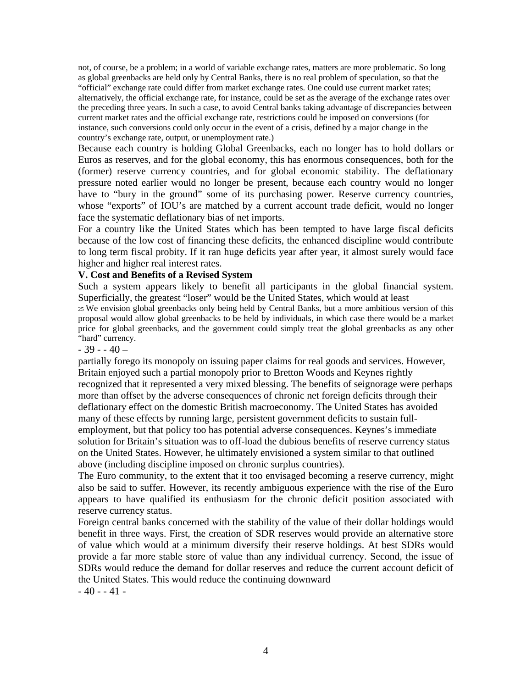not, of course, be a problem; in a world of variable exchange rates, matters are more problematic. So long as global greenbacks are held only by Central Banks, there is no real problem of speculation, so that the "official" exchange rate could differ from market exchange rates. One could use current market rates; alternatively, the official exchange rate, for instance, could be set as the average of the exchange rates over the preceding three years. In such a case, to avoid Central banks taking advantage of discrepancies between current market rates and the official exchange rate, restrictions could be imposed on conversions (for instance, such conversions could only occur in the event of a crisis, defined by a major change in the country's exchange rate, output, or unemployment rate.)

Because each country is holding Global Greenbacks, each no longer has to hold dollars or Euros as reserves, and for the global economy, this has enormous consequences, both for the (former) reserve currency countries, and for global economic stability. The deflationary pressure noted earlier would no longer be present, because each country would no longer have to "bury in the ground" some of its purchasing power. Reserve currency countries, whose "exports" of IOU's are matched by a current account trade deficit, would no longer face the systematic deflationary bias of net imports.

For a country like the United States which has been tempted to have large fiscal deficits because of the low cost of financing these deficits, the enhanced discipline would contribute to long term fiscal probity. If it ran huge deficits year after year, it almost surely would face higher and higher real interest rates.

#### **V. Cost and Benefits of a Revised System**

Such a system appears likely to benefit all participants in the global financial system. Superficially, the greatest "loser" would be the United States, which would at least

25 We envision global greenbacks only being held by Central Banks, but a more ambitious version of this proposal would allow global greenbacks to be held by individuals, in which case there would be a market price for global greenbacks, and the government could simply treat the global greenbacks as any other "hard" currency.

 $-39 - 40 -$ 

partially forego its monopoly on issuing paper claims for real goods and services. However, Britain enjoyed such a partial monopoly prior to Bretton Woods and Keynes rightly recognized that it represented a very mixed blessing. The benefits of seignorage were perhaps more than offset by the adverse consequences of chronic net foreign deficits through their deflationary effect on the domestic British macroeconomy. The United States has avoided many of these effects by running large, persistent government deficits to sustain fullemployment, but that policy too has potential adverse consequences. Keynes's immediate solution for Britain's situation was to off-load the dubious benefits of reserve currency status on the United States. However, he ultimately envisioned a system similar to that outlined above (including discipline imposed on chronic surplus countries).

The Euro community, to the extent that it too envisaged becoming a reserve currency, might also be said to suffer. However, its recently ambiguous experience with the rise of the Euro appears to have qualified its enthusiasm for the chronic deficit position associated with reserve currency status.

Foreign central banks concerned with the stability of the value of their dollar holdings would benefit in three ways. First, the creation of SDR reserves would provide an alternative store of value which would at a minimum diversify their reserve holdings. At best SDRs would provide a far more stable store of value than any individual currency. Second, the issue of SDRs would reduce the demand for dollar reserves and reduce the current account deficit of the United States. This would reduce the continuing downward

- 40 - - 41 -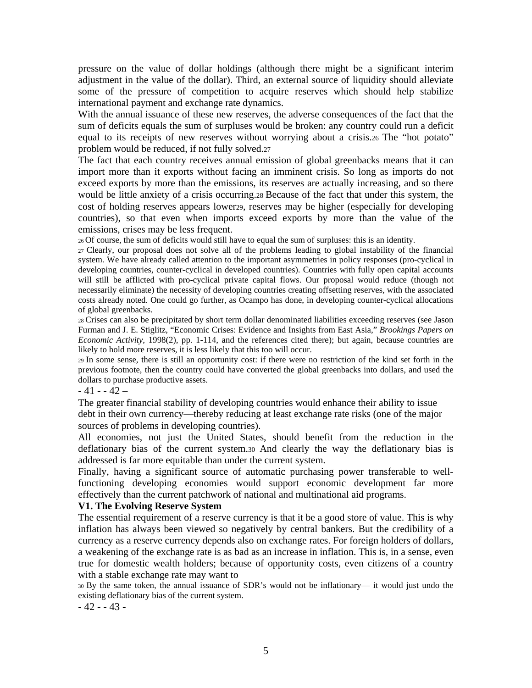pressure on the value of dollar holdings (although there might be a significant interim adjustment in the value of the dollar). Third, an external source of liquidity should alleviate some of the pressure of competition to acquire reserves which should help stabilize international payment and exchange rate dynamics.

With the annual issuance of these new reserves, the adverse consequences of the fact that the sum of deficits equals the sum of surpluses would be broken: any country could run a deficit equal to its receipts of new reserves without worrying about a crisis.26 The "hot potato" problem would be reduced, if not fully solved.27

The fact that each country receives annual emission of global greenbacks means that it can import more than it exports without facing an imminent crisis. So long as imports do not exceed exports by more than the emissions, its reserves are actually increasing, and so there would be little anxiety of a crisis occurring.28 Because of the fact that under this system, the cost of holding reserves appears lower29, reserves may be higher (especially for developing countries), so that even when imports exceed exports by more than the value of the emissions, crises may be less frequent.

26 Of course, the sum of deficits would still have to equal the sum of surpluses: this is an identity.

27 Clearly, our proposal does not solve all of the problems leading to global instability of the financial system. We have already called attention to the important asymmetries in policy responses (pro-cyclical in developing countries, counter-cyclical in developed countries). Countries with fully open capital accounts will still be afflicted with pro-cyclical private capital flows. Our proposal would reduce (though not necessarily eliminate) the necessity of developing countries creating offsetting reserves, with the associated costs already noted. One could go further, as Ocampo has done, in developing counter-cyclical allocations of global greenbacks.

28 Crises can also be precipitated by short term dollar denominated liabilities exceeding reserves (see Jason Furman and J. E. Stiglitz, "Economic Crises: Evidence and Insights from East Asia," *Brookings Papers on Economic Activity*, 1998(2), pp. 1-114, and the references cited there); but again, because countries are likely to hold more reserves, it is less likely that this too will occur.

29 In some sense, there is still an opportunity cost: if there were no restriction of the kind set forth in the previous footnote, then the country could have converted the global greenbacks into dollars, and used the dollars to purchase productive assets.

 $-41 - 42 -$ 

The greater financial stability of developing countries would enhance their ability to issue debt in their own currency—thereby reducing at least exchange rate risks (one of the major sources of problems in developing countries).

All economies, not just the United States, should benefit from the reduction in the deflationary bias of the current system.30 And clearly the way the deflationary bias is addressed is far more equitable than under the current system.

Finally, having a significant source of automatic purchasing power transferable to wellfunctioning developing economies would support economic development far more effectively than the current patchwork of national and multinational aid programs.

#### **V1. The Evolving Reserve System**

The essential requirement of a reserve currency is that it be a good store of value. This is why inflation has always been viewed so negatively by central bankers. But the credibility of a currency as a reserve currency depends also on exchange rates. For foreign holders of dollars, a weakening of the exchange rate is as bad as an increase in inflation. This is, in a sense, even true for domestic wealth holders; because of opportunity costs, even citizens of a country with a stable exchange rate may want to

30 By the same token, the annual issuance of SDR's would not be inflationary— it would just undo the existing deflationary bias of the current system.

- 42 - - 43 -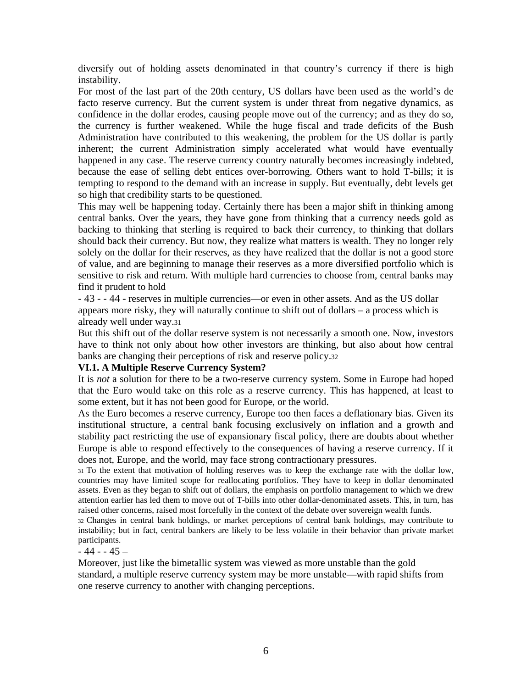diversify out of holding assets denominated in that country's currency if there is high instability.

For most of the last part of the 20th century, US dollars have been used as the world's de facto reserve currency. But the current system is under threat from negative dynamics, as confidence in the dollar erodes, causing people move out of the currency; and as they do so, the currency is further weakened. While the huge fiscal and trade deficits of the Bush Administration have contributed to this weakening, the problem for the US dollar is partly inherent; the current Administration simply accelerated what would have eventually happened in any case. The reserve currency country naturally becomes increasingly indebted, because the ease of selling debt entices over-borrowing. Others want to hold T-bills; it is tempting to respond to the demand with an increase in supply. But eventually, debt levels get so high that credibility starts to be questioned.

This may well be happening today. Certainly there has been a major shift in thinking among central banks. Over the years, they have gone from thinking that a currency needs gold as backing to thinking that sterling is required to back their currency, to thinking that dollars should back their currency. But now, they realize what matters is wealth. They no longer rely solely on the dollar for their reserves, as they have realized that the dollar is not a good store of value, and are beginning to manage their reserves as a more diversified portfolio which is sensitive to risk and return. With multiple hard currencies to choose from, central banks may find it prudent to hold

- 43 - - 44 - reserves in multiple currencies—or even in other assets. And as the US dollar appears more risky, they will naturally continue to shift out of dollars – a process which is already well under way.31

But this shift out of the dollar reserve system is not necessarily a smooth one. Now, investors have to think not only about how other investors are thinking, but also about how central banks are changing their perceptions of risk and reserve policy.32

# **VI.1. A Multiple Reserve Currency System?**

It is *not* a solution for there to be a two-reserve currency system. Some in Europe had hoped that the Euro would take on this role as a reserve currency. This has happened, at least to some extent, but it has not been good for Europe, or the world.

As the Euro becomes a reserve currency, Europe too then faces a deflationary bias. Given its institutional structure, a central bank focusing exclusively on inflation and a growth and stability pact restricting the use of expansionary fiscal policy, there are doubts about whether Europe is able to respond effectively to the consequences of having a reserve currency. If it does not, Europe, and the world, may face strong contractionary pressures.

31 To the extent that motivation of holding reserves was to keep the exchange rate with the dollar low, countries may have limited scope for reallocating portfolios. They have to keep in dollar denominated assets. Even as they began to shift out of dollars, the emphasis on portfolio management to which we drew attention earlier has led them to move out of T-bills into other dollar-denominated assets. This, in turn, has raised other concerns, raised most forcefully in the context of the debate over sovereign wealth funds.

32 Changes in central bank holdings, or market perceptions of central bank holdings, may contribute to instability; but in fact, central bankers are likely to be less volatile in their behavior than private market participants.

- 44 - - 45 –

Moreover, just like the bimetallic system was viewed as more unstable than the gold standard, a multiple reserve currency system may be more unstable—with rapid shifts from one reserve currency to another with changing perceptions.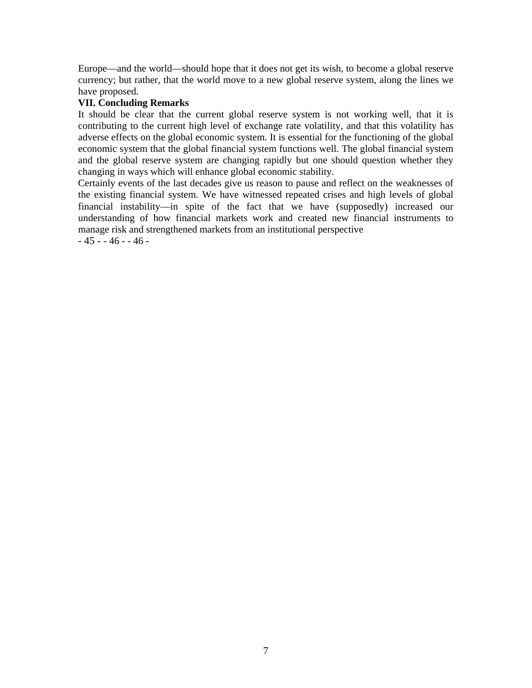Europe—and the world—should hope that it does not get its wish, to become a global reserve currency; but rather, that the world move to a new global reserve system, along the lines we have proposed.

# **VII. Concluding Remarks**

It should be clear that the current global reserve system is not working well, that it is contributing to the current high level of exchange rate volatility, and that this volatility has adverse effects on the global economic system. It is essential for the functioning of the global economic system that the global financial system functions well. The global financial system and the global reserve system are changing rapidly but one should question whether they changing in ways which will enhance global economic stability.

Certainly events of the last decades give us reason to pause and reflect on the weaknesses of the existing financial system. We have witnessed repeated crises and high levels of global financial instability—in spite of the fact that we have (supposedly) increased our understanding of how financial markets work and created new financial instruments to manage risk and strengthened markets from an institutional perspective

- 45 - - 46 - - 46 -